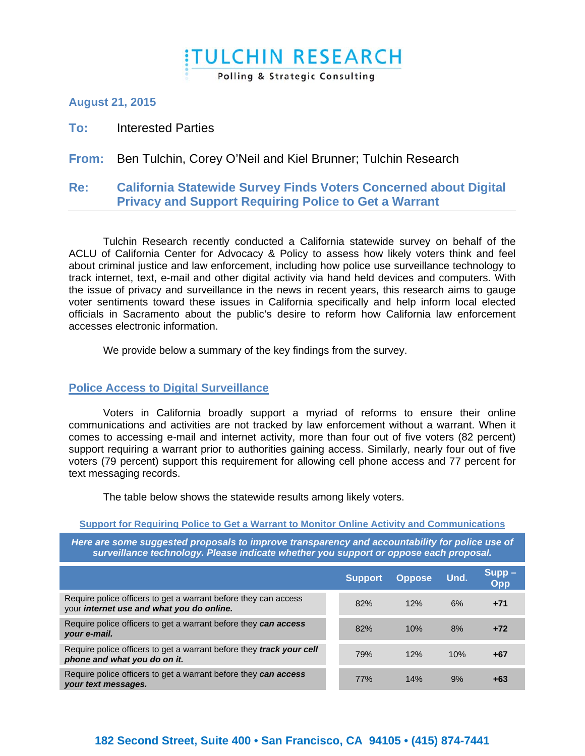# **ITULCHIN RESEARCH** Polling & Strategic Consulting

### **August 21, 2015**

**To:** Interested Parties

# **From:** Ben Tulchin, Corey O'Neil and Kiel Brunner; Tulchin Research

#### **Re: California Statewide Survey Finds Voters Concerned about Digital Privacy and Support Requiring Police to Get a Warrant**

Tulchin Research recently conducted a California statewide survey on behalf of the ACLU of California Center for Advocacy & Policy to assess how likely voters think and feel about criminal justice and law enforcement, including how police use surveillance technology to track internet, text, e-mail and other digital activity via hand held devices and computers. With the issue of privacy and surveillance in the news in recent years, this research aims to gauge voter sentiments toward these issues in California specifically and help inform local elected officials in Sacramento about the public's desire to reform how California law enforcement accesses electronic information.

We provide below a summary of the key findings from the survey.

#### **Police Access to Digital Surveillance**

Voters in California broadly support a myriad of reforms to ensure their online communications and activities are not tracked by law enforcement without a warrant. When it comes to accessing e-mail and internet activity, more than four out of five voters (82 percent) support requiring a warrant prior to authorities gaining access. Similarly, nearly four out of five voters (79 percent) support this requirement for allowing cell phone access and 77 percent for text messaging records.

The table below shows the statewide results among likely voters.

#### **Support for Requiring Police to Get a Warrant to Monitor Online Activity and Communications**

*Here are some suggested proposals to improve transparency and accountability for police use of surveillance technology. Please indicate whether you support or oppose each proposal.* 

|                                                                                                              | <b>Support</b> | <b>Oppose</b> | Und. | $Supp -$<br>Opp |
|--------------------------------------------------------------------------------------------------------------|----------------|---------------|------|-----------------|
| Require police officers to get a warrant before they can access<br>your internet use and what you do online. | 82%            | 12%           | 6%   | $+71$           |
| Require police officers to get a warrant before they can access<br>your e-mail.                              | 82%            | 10%           | 8%   | $+72$           |
| Require police officers to get a warrant before they track your cell<br>phone and what you do on it.         | 79%            | 12%           | 10%  | +67             |
| Require police officers to get a warrant before they can access<br>your text messages.                       | 77%            | 14%           | 9%   | +63             |

# **182 Second Street, Suite 400 • San Francisco, CA 94105 • (415) 874-7441**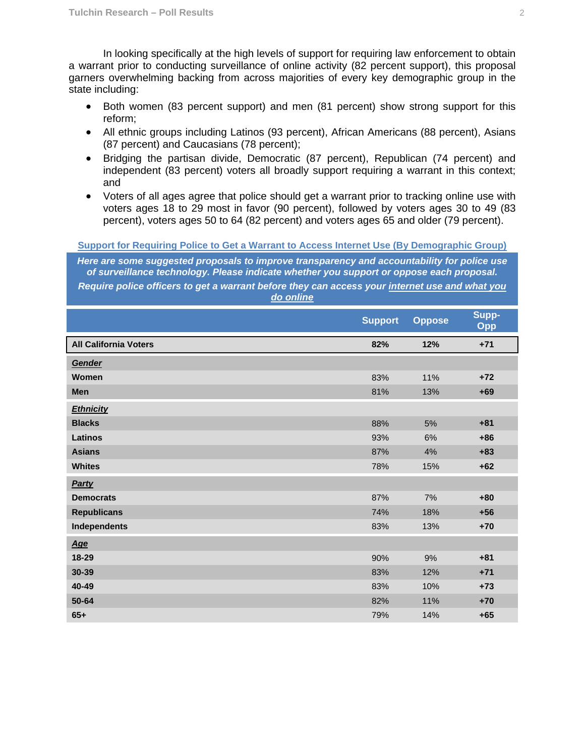In looking specifically at the high levels of support for requiring law enforcement to obtain a warrant prior to conducting surveillance of online activity (82 percent support), this proposal garners overwhelming backing from across majorities of every key demographic group in the state including:

- Both women (83 percent support) and men (81 percent) show strong support for this reform;
- All ethnic groups including Latinos (93 percent), African Americans (88 percent), Asians (87 percent) and Caucasians (78 percent);
- Bridging the partisan divide, Democratic (87 percent), Republican (74 percent) and independent (83 percent) voters all broadly support requiring a warrant in this context; and
- Voters of all ages agree that police should get a warrant prior to tracking online use with voters ages 18 to 29 most in favor (90 percent), followed by voters ages 30 to 49 (83 percent), voters ages 50 to 64 (82 percent) and voters ages 65 and older (79 percent).

**Support for Requiring Police to Get a Warrant to Access Internet Use (By Demographic Group)** 

*Here are some suggested proposals to improve transparency and accountability for police use of surveillance technology. Please indicate whether you support or oppose each proposal.* 

*Require police officers to get a warrant before they can access your internet use and what you do online*

|                              | <b>Support</b> | <b>Oppose</b> | Supp-<br>Opp |
|------------------------------|----------------|---------------|--------------|
| <b>All California Voters</b> | 82%            | 12%           | $+71$        |
| Gender                       |                |               |              |
| Women                        | 83%            | 11%           | $+72$        |
| <b>Men</b>                   | 81%            | 13%           | $+69$        |
| <b>Ethnicity</b>             |                |               |              |
| <b>Blacks</b>                | 88%            | 5%            | $+81$        |
| Latinos                      | 93%            | 6%            | $+86$        |
| <b>Asians</b>                | 87%            | 4%            | $+83$        |
| <b>Whites</b>                | 78%            | 15%           | $+62$        |
| <b>Party</b>                 |                |               |              |
| <b>Democrats</b>             | 87%            | 7%            | $+80$        |
| <b>Republicans</b>           | 74%            | 18%           | $+56$        |
| Independents                 | 83%            | 13%           | $+70$        |
| <b>Age</b>                   |                |               |              |
| 18-29                        | 90%            | 9%            | $+81$        |
| 30-39                        | 83%            | 12%           | $+71$        |
| 40-49                        | 83%            | 10%           | $+73$        |
| 50-64                        | 82%            | 11%           | $+70$        |
| $65+$                        | 79%            | 14%           | $+65$        |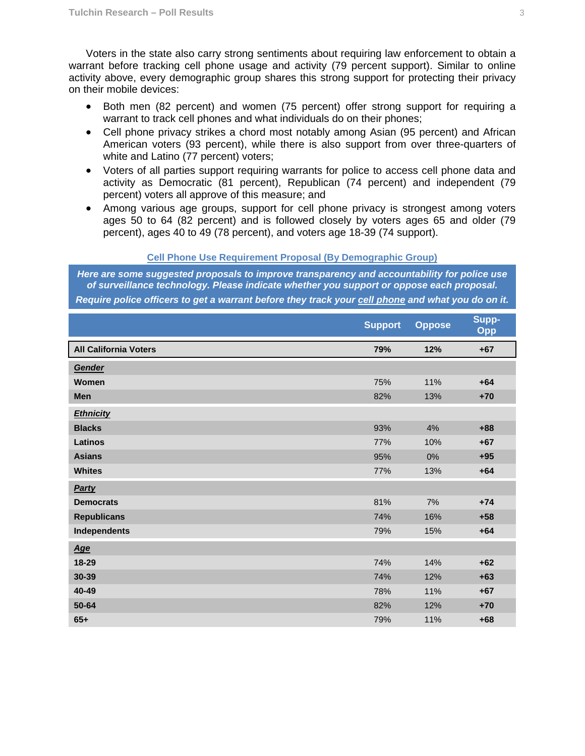Voters in the state also carry strong sentiments about requiring law enforcement to obtain a warrant before tracking cell phone usage and activity (79 percent support). Similar to online activity above, every demographic group shares this strong support for protecting their privacy on their mobile devices:

- Both men (82 percent) and women (75 percent) offer strong support for requiring a warrant to track cell phones and what individuals do on their phones;
- Cell phone privacy strikes a chord most notably among Asian (95 percent) and African American voters (93 percent), while there is also support from over three-quarters of white and Latino (77 percent) voters;
- Voters of all parties support requiring warrants for police to access cell phone data and activity as Democratic (81 percent), Republican (74 percent) and independent (79 percent) voters all approve of this measure; and
- Among various age groups, support for cell phone privacy is strongest among voters ages 50 to 64 (82 percent) and is followed closely by voters ages 65 and older (79 percent), ages 40 to 49 (78 percent), and voters age 18-39 (74 support).

#### **Cell Phone Use Requirement Proposal (By Demographic Group)**

*Here are some suggested proposals to improve transparency and accountability for police use of surveillance technology. Please indicate whether you support or oppose each proposal.* 

*Require police officers to get a warrant before they track your cell phone and what you do on it.*

|                              | <b>Support</b> | <b>Oppose</b> | Supp-<br>Opp |
|------------------------------|----------------|---------------|--------------|
| <b>All California Voters</b> | 79%            | 12%           | $+67$        |
| Gender                       |                |               |              |
| Women                        | 75%            | 11%           | $+64$        |
| <b>Men</b>                   | 82%            | 13%           | $+70$        |
| <b>Ethnicity</b>             |                |               |              |
| <b>Blacks</b>                | 93%            | 4%            | $+88$        |
| <b>Latinos</b>               | 77%            | 10%           | $+67$        |
| <b>Asians</b>                | 95%            | 0%            | $+95$        |
| <b>Whites</b>                | 77%            | 13%           | $+64$        |
| Party                        |                |               |              |
| <b>Democrats</b>             | 81%            | 7%            | $+74$        |
| <b>Republicans</b>           | 74%            | 16%           | $+58$        |
| <b>Independents</b>          | 79%            | 15%           | $+64$        |
| Age                          |                |               |              |
| 18-29                        | 74%            | 14%           | $+62$        |
| 30-39                        | 74%            | 12%           | $+63$        |
| 40-49                        | 78%            | 11%           | $+67$        |
| 50-64                        | 82%            | 12%           | $+70$        |
| $65+$                        | 79%            | 11%           | $+68$        |